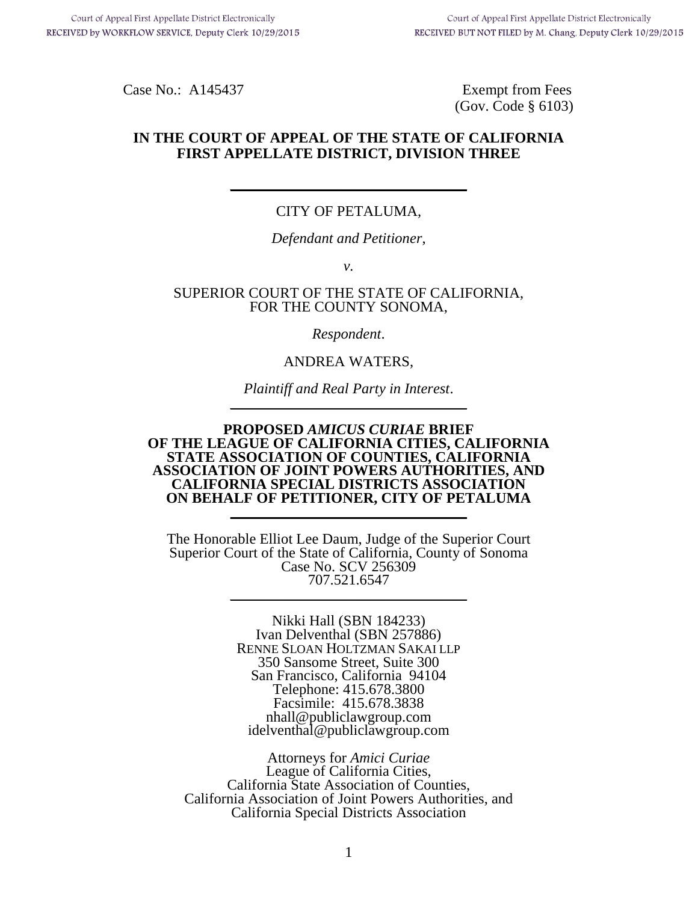Case No.: A145437 Exempt from Fees (Gov. Code § 6103)

## **IN THE COURT OF APPEAL OF THE STATE OF CALIFORNIA FIRST APPELLATE DISTRICT, DIVISION THREE**

## CITY OF PETALUMA,

 $\mathcal{L}=\mathcal{L}=\mathcal{L}=\mathcal{L}=\mathcal{L}=\mathcal{L}=\mathcal{L}=\mathcal{L}=\mathcal{L}=\mathcal{L}=\mathcal{L}=\mathcal{L}=\mathcal{L}=\mathcal{L}=\mathcal{L}=\mathcal{L}=\mathcal{L}=\mathcal{L}=\mathcal{L}=\mathcal{L}=\mathcal{L}=\mathcal{L}=\mathcal{L}=\mathcal{L}=\mathcal{L}=\mathcal{L}=\mathcal{L}=\mathcal{L}=\mathcal{L}=\mathcal{L}=\mathcal{L}=\mathcal{L}=\mathcal{L}=\mathcal{L}=\mathcal{L}=\mathcal{L}=\mathcal{$ 

*Defendant and Petitioner*,

*v.*

#### SUPERIOR COURT OF THE STATE OF CALIFORNIA, FOR THE COUNTY SONOMA,

*Respondent*.

ANDREA WATERS,

*Plaintiff and Real Party in Interest.* 

#### **PROPOSED** *AMICUS CURIAE* **BRIEF OF THE LEAGUE OF CALIFORNIA CITIES, CALIFORNIA STATE ASSOCIATION OF COUNTIES, CALIFORNIA ASSOCIATION OF JOINT POWERS AUTHORITIES, AND CALIFORNIA SPECIAL DISTRICTS ASSOCIATION ON BEHALF OF PETITIONER, CITY OF PETALUMA**

The Honorable Elliot Lee Daum, Judge of the Superior Court Superior Court of the State of California, County of Sonoma Case No. SCV 256309 707.521.6547

> Nikki Hall (SBN 184233) Ivan Delventhal (SBN 257886) RENNE SLOAN HOLTZMAN SAKAI LLP 350 Sansome Street, Suite 300 San Francisco, California 94104 Telephone: 415.678.3800 Facsimile: 415.678.3838 nhall@publiclawgroup.com idelventhal@publiclawgroup.com

Attorneys for *Amici Curiae* League of California Cities, California State Association of Counties, California Association of Joint Powers Authorities, and California Special Districts Association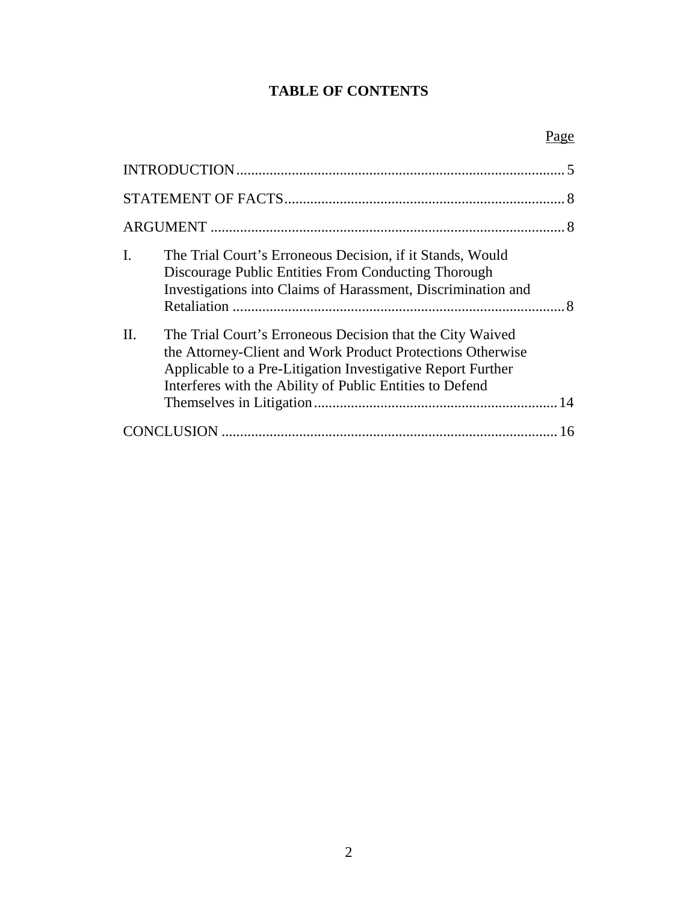# **TABLE OF CONTENTS**

# Page

| I.<br>The Trial Court's Erroneous Decision, if it Stands, Would<br>Discourage Public Entities From Conducting Thorough<br>Investigations into Claims of Harassment, Discrimination and                                                                        |
|---------------------------------------------------------------------------------------------------------------------------------------------------------------------------------------------------------------------------------------------------------------|
| $\Pi$ .<br>The Trial Court's Erroneous Decision that the City Waived<br>the Attorney-Client and Work Product Protections Otherwise<br>Applicable to a Pre-Litigation Investigative Report Further<br>Interferes with the Ability of Public Entities to Defend |
|                                                                                                                                                                                                                                                               |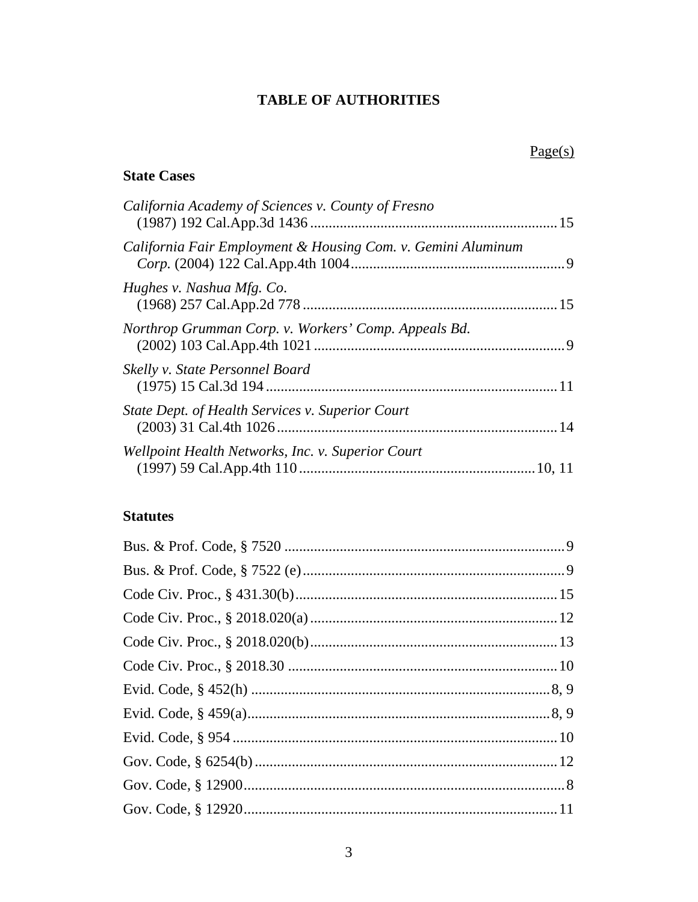# **TABLE OF AUTHORITIES**

# **State Cases**

| California Academy of Sciences v. County of Fresno           |  |
|--------------------------------------------------------------|--|
| California Fair Employment & Housing Com. v. Gemini Aluminum |  |
| Hughes v. Nashua Mfg. Co.                                    |  |
| Northrop Grumman Corp. v. Workers' Comp. Appeals Bd.         |  |
| Skelly v. State Personnel Board                              |  |
| State Dept. of Health Services v. Superior Court             |  |
| Wellpoint Health Networks, Inc. v. Superior Court            |  |
|                                                              |  |

# **Statutes**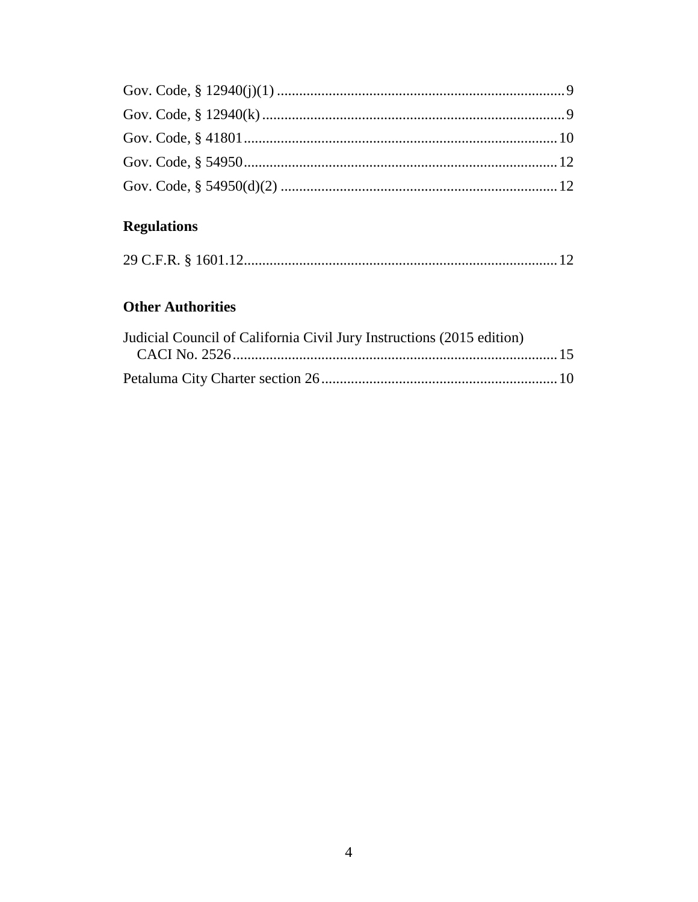# **Regulations**

|--|--|--|

# **Other Authorities**

| Judicial Council of California Civil Jury Instructions (2015 edition) |  |
|-----------------------------------------------------------------------|--|
|                                                                       |  |
|                                                                       |  |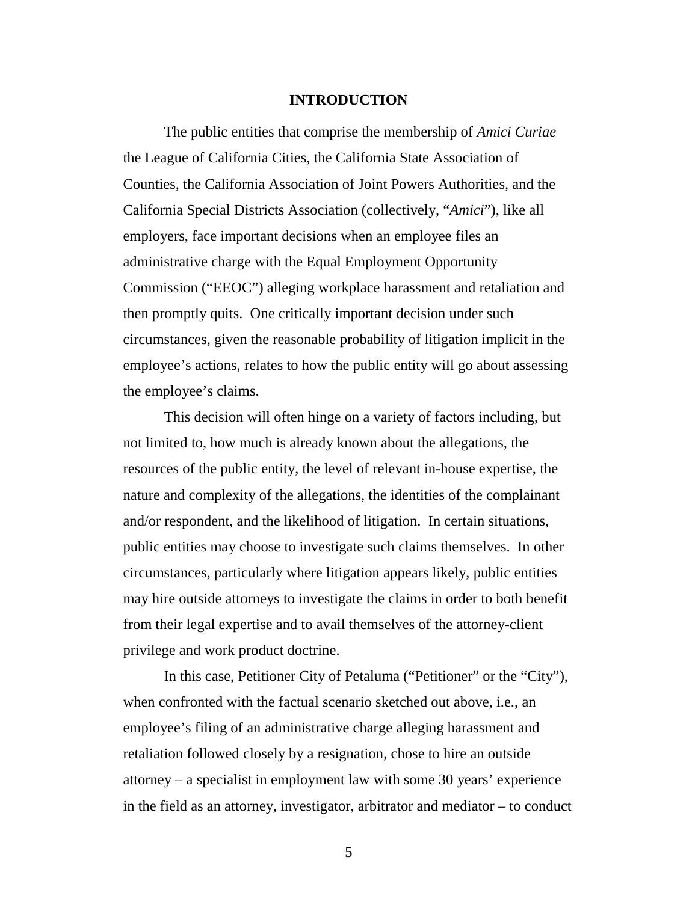#### **INTRODUCTION**

<span id="page-4-0"></span>The public entities that comprise the membership of *Amici Curiae* the League of California Cities, the California State Association of Counties, the California Association of Joint Powers Authorities, and the California Special Districts Association (collectively, "*Amici*"), like all employers, face important decisions when an employee files an administrative charge with the Equal Employment Opportunity Commission ("EEOC") alleging workplace harassment and retaliation and then promptly quits. One critically important decision under such circumstances, given the reasonable probability of litigation implicit in the employee's actions, relates to how the public entity will go about assessing the employee's claims.

This decision will often hinge on a variety of factors including, but not limited to, how much is already known about the allegations, the resources of the public entity, the level of relevant in-house expertise, the nature and complexity of the allegations, the identities of the complainant and/or respondent, and the likelihood of litigation. In certain situations, public entities may choose to investigate such claims themselves. In other circumstances, particularly where litigation appears likely, public entities may hire outside attorneys to investigate the claims in order to both benefit from their legal expertise and to avail themselves of the attorney-client privilege and work product doctrine.

In this case, Petitioner City of Petaluma ("Petitioner" or the "City"), when confronted with the factual scenario sketched out above, i.e., an employee's filing of an administrative charge alleging harassment and retaliation followed closely by a resignation, chose to hire an outside attorney – a specialist in employment law with some 30 years' experience in the field as an attorney, investigator, arbitrator and mediator – to conduct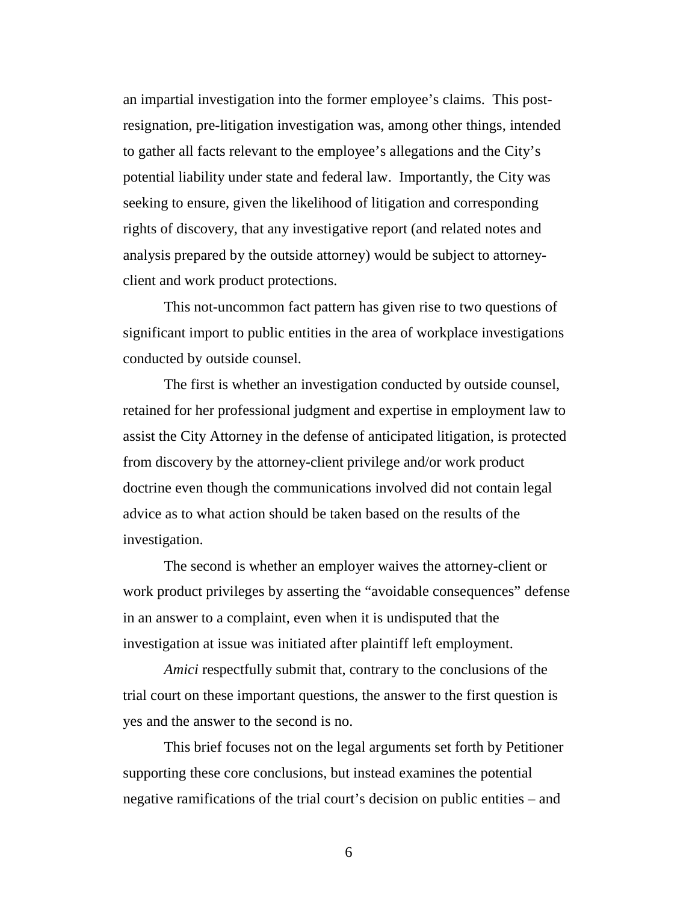an impartial investigation into the former employee's claims. This postresignation, pre-litigation investigation was, among other things, intended to gather all facts relevant to the employee's allegations and the City's potential liability under state and federal law. Importantly, the City was seeking to ensure, given the likelihood of litigation and corresponding rights of discovery, that any investigative report (and related notes and analysis prepared by the outside attorney) would be subject to attorneyclient and work product protections.

This not-uncommon fact pattern has given rise to two questions of significant import to public entities in the area of workplace investigations conducted by outside counsel.

The first is whether an investigation conducted by outside counsel, retained for her professional judgment and expertise in employment law to assist the City Attorney in the defense of anticipated litigation, is protected from discovery by the attorney-client privilege and/or work product doctrine even though the communications involved did not contain legal advice as to what action should be taken based on the results of the investigation.

The second is whether an employer waives the attorney-client or work product privileges by asserting the "avoidable consequences" defense in an answer to a complaint, even when it is undisputed that the investigation at issue was initiated after plaintiff left employment.

*Amici* respectfully submit that, contrary to the conclusions of the trial court on these important questions, the answer to the first question is yes and the answer to the second is no.

This brief focuses not on the legal arguments set forth by Petitioner supporting these core conclusions, but instead examines the potential negative ramifications of the trial court's decision on public entities – and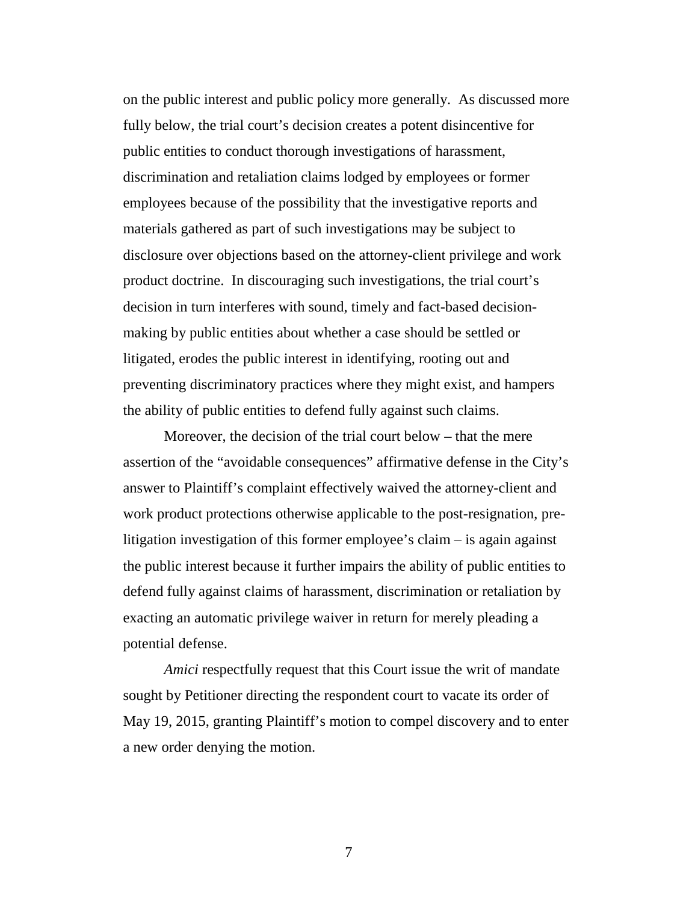on the public interest and public policy more generally. As discussed more fully below, the trial court's decision creates a potent disincentive for public entities to conduct thorough investigations of harassment, discrimination and retaliation claims lodged by employees or former employees because of the possibility that the investigative reports and materials gathered as part of such investigations may be subject to disclosure over objections based on the attorney-client privilege and work product doctrine. In discouraging such investigations, the trial court's decision in turn interferes with sound, timely and fact-based decisionmaking by public entities about whether a case should be settled or litigated, erodes the public interest in identifying, rooting out and preventing discriminatory practices where they might exist, and hampers the ability of public entities to defend fully against such claims.

Moreover, the decision of the trial court below – that the mere assertion of the "avoidable consequences" affirmative defense in the City's answer to Plaintiff's complaint effectively waived the attorney-client and work product protections otherwise applicable to the post-resignation, prelitigation investigation of this former employee's claim – is again against the public interest because it further impairs the ability of public entities to defend fully against claims of harassment, discrimination or retaliation by exacting an automatic privilege waiver in return for merely pleading a potential defense.

*Amici* respectfully request that this Court issue the writ of mandate sought by Petitioner directing the respondent court to vacate its order of May 19, 2015, granting Plaintiff's motion to compel discovery and to enter a new order denying the motion.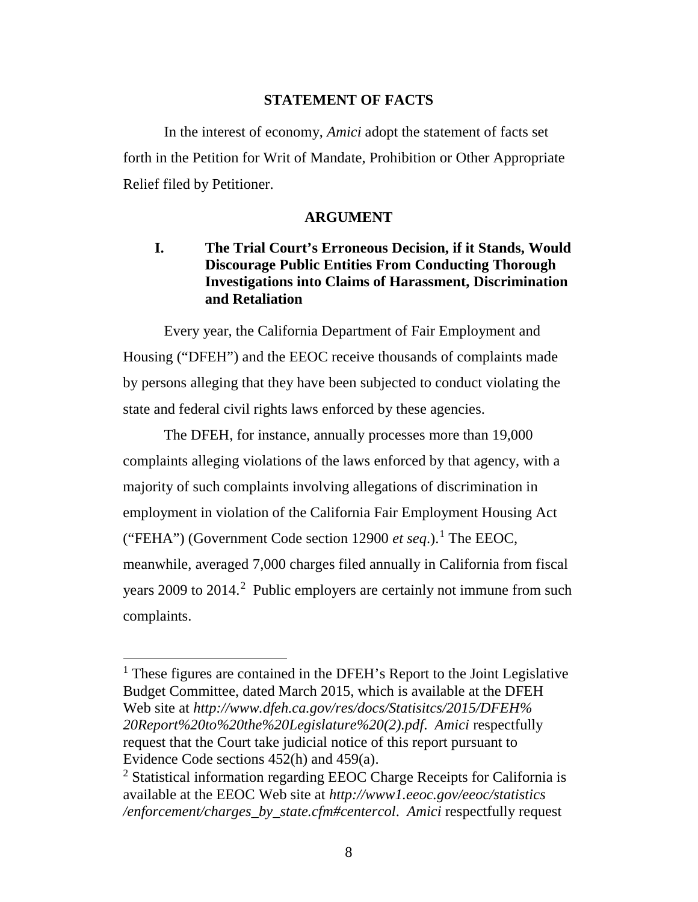#### **STATEMENT OF FACTS**

<span id="page-7-0"></span>In the interest of economy, *Amici* adopt the statement of facts set forth in the Petition for Writ of Mandate, Prohibition or Other Appropriate Relief filed by Petitioner.

#### **ARGUMENT**

## <span id="page-7-2"></span><span id="page-7-1"></span>**I. The Trial Court's Erroneous Decision, if it Stands, Would Discourage Public Entities From Conducting Thorough Investigations into Claims of Harassment, Discrimination and Retaliation**

Every year, the California Department of Fair Employment and Housing ("DFEH") and the EEOC receive thousands of complaints made by persons alleging that they have been subjected to conduct violating the state and federal civil rights laws enforced by these agencies.

The DFEH, for instance, annually processes more than 19,000 complaints alleging violations of the laws enforced by that agency, with a majority of such complaints involving allegations of discrimination in employment in violation of the California Fair Employment Housing Act ("FEHA") (Government Code section 12900 *et seq*.). [1](#page-7-3) The EEOC, meanwhile, averaged 7,000 charges filed annually in California from fiscal years [2](#page-7-4)009 to 2014.<sup>2</sup> Public employers are certainly not immune from such complaints.

<span id="page-7-3"></span><sup>&</sup>lt;sup>1</sup> These figures are contained in the DFEH's Report to the Joint Legislative Budget Committee, dated March 2015, which is available at the DFEH Web site at *http://www.dfeh.ca.gov/res/docs/Statisitcs/2015/DFEH% 20Report%20to%20the%20Legislature%20(2).pdf*. *Amici* respectfully request that the Court take judicial notice of this report pursuant to Evidence Code sections 452(h) and 459(a).

<span id="page-7-4"></span><sup>2</sup> Statistical information regarding EEOC Charge Receipts for California is available at the EEOC Web site at *http://www1.eeoc.gov/eeoc/statistics /enforcement/charges\_by\_state.cfm#centercol*. *Amici* respectfully request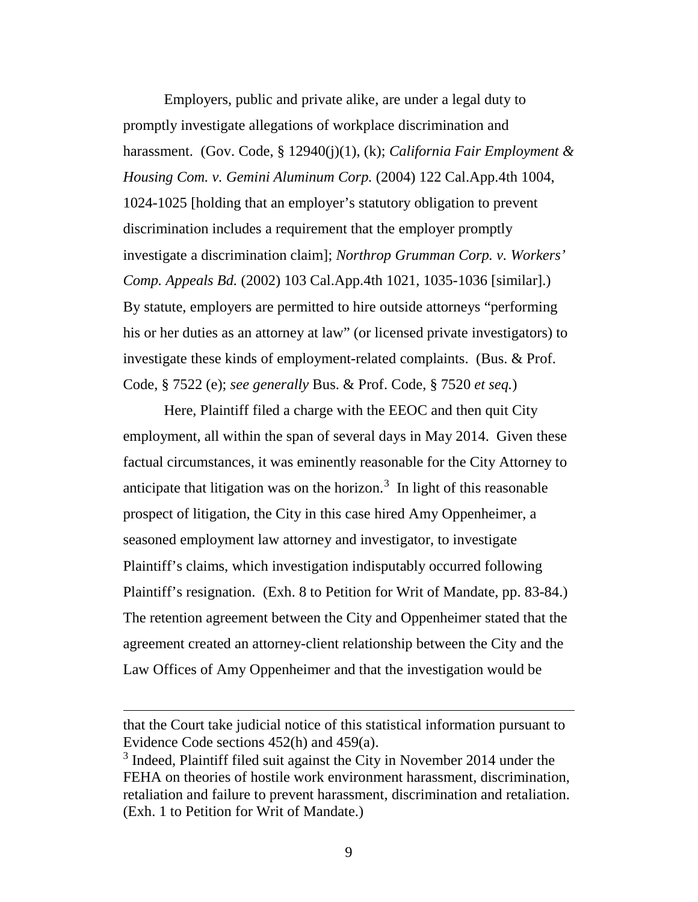Employers, public and private alike, are under a legal duty to promptly investigate allegations of workplace discrimination and harassment. (Gov. Code, § 12940(j)(1), (k); *California Fair Employment & Housing Com. v. Gemini Aluminum Corp.* (2004) 122 Cal.App.4th 1004, 1024-1025 [holding that an employer's statutory obligation to prevent discrimination includes a requirement that the employer promptly investigate a discrimination claim]; *Northrop Grumman Corp. v. Workers' Comp. Appeals Bd.* (2002) 103 Cal.App.4th 1021, 1035-1036 [similar].) By statute, employers are permitted to hire outside attorneys "performing his or her duties as an attorney at law" (or licensed private investigators) to investigate these kinds of employment-related complaints. (Bus. & Prof. Code, § 7522 (e); *see generally* Bus. & Prof. Code, § 7520 *et seq.*)

Here, Plaintiff filed a charge with the EEOC and then quit City employment, all within the span of several days in May 2014. Given these factual circumstances, it was eminently reasonable for the City Attorney to anticipate that litigation was on the horizon.<sup>[3](#page-8-0)</sup> In light of this reasonable prospect of litigation, the City in this case hired Amy Oppenheimer, a seasoned employment law attorney and investigator, to investigate Plaintiff's claims, which investigation indisputably occurred following Plaintiff's resignation. (Exh. 8 to Petition for Writ of Mandate, pp. 83-84.) The retention agreement between the City and Oppenheimer stated that the agreement created an attorney-client relationship between the City and the Law Offices of Amy Oppenheimer and that the investigation would be

I

that the Court take judicial notice of this statistical information pursuant to Evidence Code sections 452(h) and 459(a).

<span id="page-8-0"></span><sup>&</sup>lt;sup>3</sup> Indeed, Plaintiff filed suit against the City in November 2014 under the FEHA on theories of hostile work environment harassment, discrimination, retaliation and failure to prevent harassment, discrimination and retaliation. (Exh. 1 to Petition for Writ of Mandate.)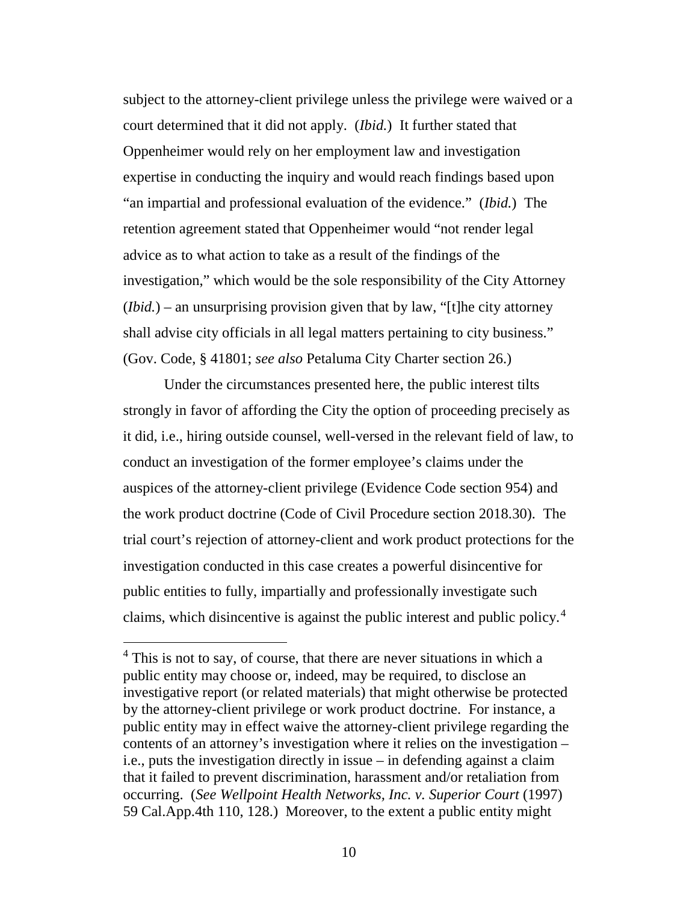subject to the attorney-client privilege unless the privilege were waived or a court determined that it did not apply. (*Ibid.*) It further stated that Oppenheimer would rely on her employment law and investigation expertise in conducting the inquiry and would reach findings based upon "an impartial and professional evaluation of the evidence." (*Ibid.*) The retention agreement stated that Oppenheimer would "not render legal advice as to what action to take as a result of the findings of the investigation," which would be the sole responsibility of the City Attorney (*Ibid.*) – an unsurprising provision given that by law, "[t]he city attorney shall advise city officials in all legal matters pertaining to city business." (Gov. Code, § 41801; *see also* Petaluma City Charter section 26.)

Under the circumstances presented here, the public interest tilts strongly in favor of affording the City the option of proceeding precisely as it did, i.e., hiring outside counsel, well-versed in the relevant field of law, to conduct an investigation of the former employee's claims under the auspices of the attorney-client privilege (Evidence Code section 954) and the work product doctrine (Code of Civil Procedure section 2018.30). The trial court's rejection of attorney-client and work product protections for the investigation conducted in this case creates a powerful disincentive for public entities to fully, impartially and professionally investigate such claims, which disincentive is against the public interest and public policy.[4](#page-9-0)

<span id="page-9-0"></span><sup>&</sup>lt;sup>4</sup> This is not to say, of course, that there are never situations in which a public entity may choose or, indeed, may be required, to disclose an investigative report (or related materials) that might otherwise be protected by the attorney-client privilege or work product doctrine. For instance, a public entity may in effect waive the attorney-client privilege regarding the contents of an attorney's investigation where it relies on the investigation – i.e., puts the investigation directly in issue – in defending against a claim that it failed to prevent discrimination, harassment and/or retaliation from occurring. (*See Wellpoint Health Networks, Inc. v. Superior Court* (1997) 59 Cal.App.4th 110, 128.) Moreover, to the extent a public entity might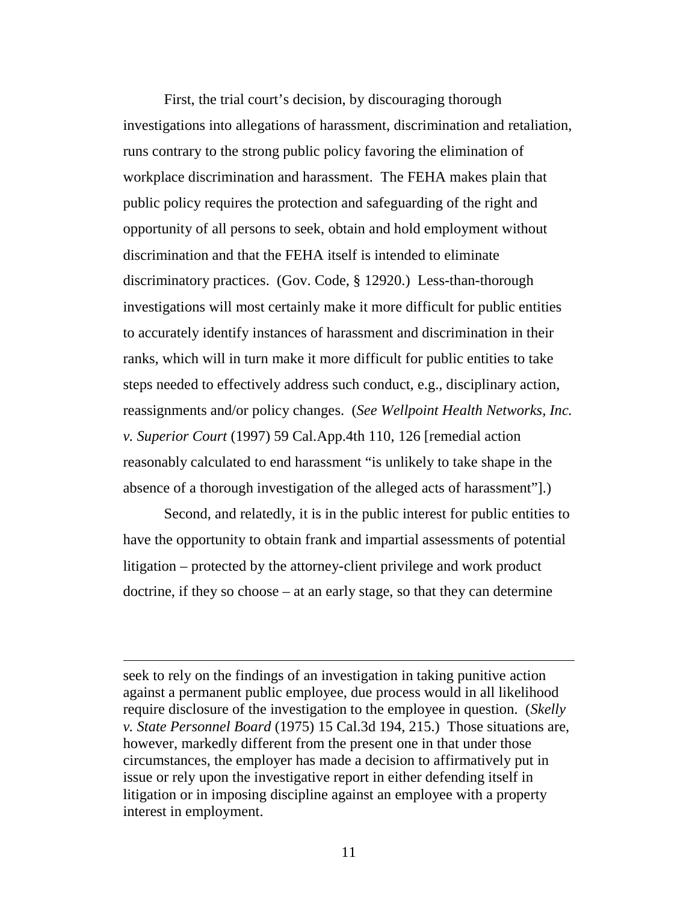First, the trial court's decision, by discouraging thorough investigations into allegations of harassment, discrimination and retaliation, runs contrary to the strong public policy favoring the elimination of workplace discrimination and harassment. The FEHA makes plain that public policy requires the protection and safeguarding of the right and opportunity of all persons to seek, obtain and hold employment without discrimination and that the FEHA itself is intended to eliminate discriminatory practices. (Gov. Code, § 12920.) Less-than-thorough investigations will most certainly make it more difficult for public entities to accurately identify instances of harassment and discrimination in their ranks, which will in turn make it more difficult for public entities to take steps needed to effectively address such conduct, e.g., disciplinary action, reassignments and/or policy changes. (*See Wellpoint Health Networks, Inc. v. Superior Court* (1997) 59 Cal.App.4th 110, 126 [remedial action reasonably calculated to end harassment "is unlikely to take shape in the absence of a thorough investigation of the alleged acts of harassment"].)

Second, and relatedly, it is in the public interest for public entities to have the opportunity to obtain frank and impartial assessments of potential litigation – protected by the attorney-client privilege and work product doctrine, if they so choose – at an early stage, so that they can determine

seek to rely on the findings of an investigation in taking punitive action against a permanent public employee, due process would in all likelihood require disclosure of the investigation to the employee in question. (*Skelly v. State Personnel Board* (1975) 15 Cal.3d 194, 215.) Those situations are, however, markedly different from the present one in that under those circumstances, the employer has made a decision to affirmatively put in issue or rely upon the investigative report in either defending itself in litigation or in imposing discipline against an employee with a property interest in employment.

i<br>I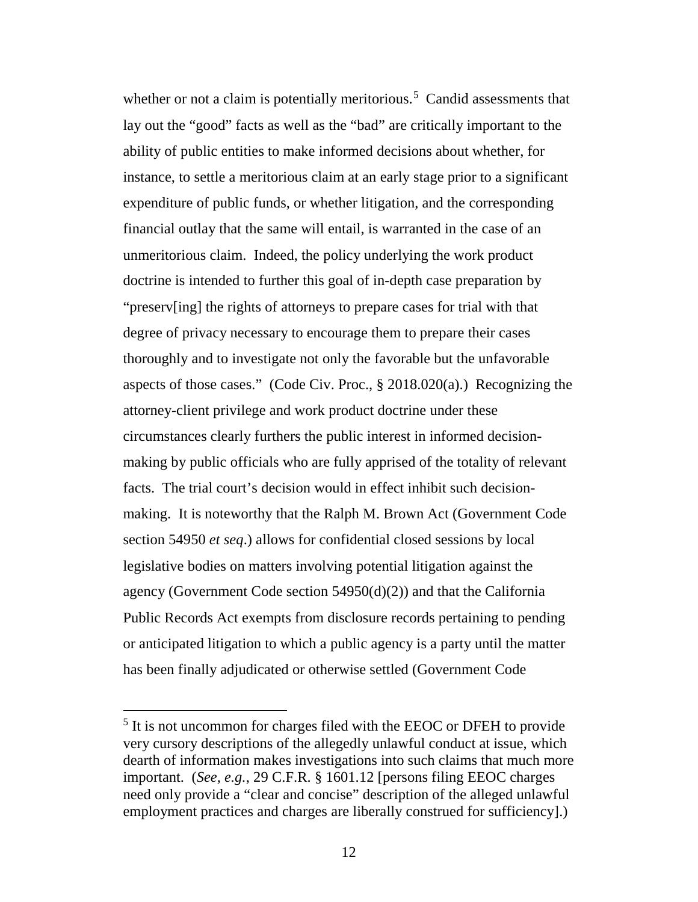whether or not a claim is potentially meritorious.<sup>[5](#page-11-0)</sup> Candid assessments that lay out the "good" facts as well as the "bad" are critically important to the ability of public entities to make informed decisions about whether, for instance, to settle a meritorious claim at an early stage prior to a significant expenditure of public funds, or whether litigation, and the corresponding financial outlay that the same will entail, is warranted in the case of an unmeritorious claim. Indeed, the policy underlying the work product doctrine is intended to further this goal of in-depth case preparation by "preserv[ing] the rights of attorneys to prepare cases for trial with that degree of privacy necessary to encourage them to prepare their cases thoroughly and to investigate not only the favorable but the unfavorable aspects of those cases." (Code Civ. Proc., § 2018.020(a).) Recognizing the attorney-client privilege and work product doctrine under these circumstances clearly furthers the public interest in informed decisionmaking by public officials who are fully apprised of the totality of relevant facts. The trial court's decision would in effect inhibit such decisionmaking. It is noteworthy that the Ralph M. Brown Act (Government Code section 54950 *et seq*.) allows for confidential closed sessions by local legislative bodies on matters involving potential litigation against the agency (Government Code section 54950(d)(2)) and that the California Public Records Act exempts from disclosure records pertaining to pending or anticipated litigation to which a public agency is a party until the matter has been finally adjudicated or otherwise settled (Government Code

<span id="page-11-0"></span><sup>&</sup>lt;sup>5</sup> It is not uncommon for charges filed with the EEOC or DFEH to provide very cursory descriptions of the allegedly unlawful conduct at issue, which dearth of information makes investigations into such claims that much more important. (*See, e.g.*, 29 C.F.R. § 1601.12 [persons filing EEOC charges need only provide a "clear and concise" description of the alleged unlawful employment practices and charges are liberally construed for sufficiency].)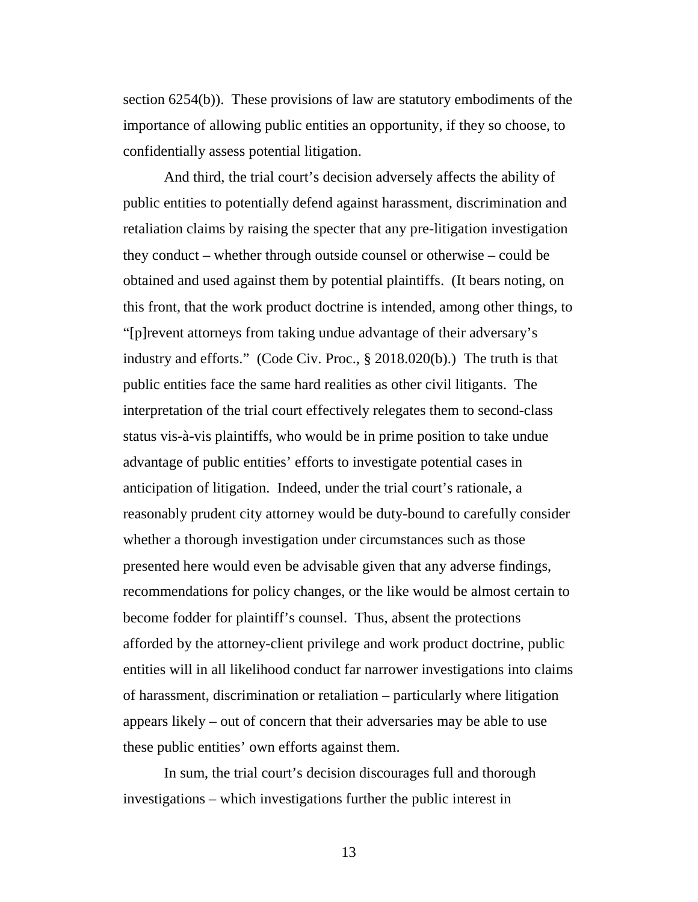section 6254(b)). These provisions of law are statutory embodiments of the importance of allowing public entities an opportunity, if they so choose, to confidentially assess potential litigation.

And third, the trial court's decision adversely affects the ability of public entities to potentially defend against harassment, discrimination and retaliation claims by raising the specter that any pre-litigation investigation they conduct – whether through outside counsel or otherwise – could be obtained and used against them by potential plaintiffs. (It bears noting, on this front, that the work product doctrine is intended, among other things, to "[p]revent attorneys from taking undue advantage of their adversary's industry and efforts." (Code Civ. Proc., § 2018.020(b).) The truth is that public entities face the same hard realities as other civil litigants. The interpretation of the trial court effectively relegates them to second-class status vis-à-vis plaintiffs, who would be in prime position to take undue advantage of public entities' efforts to investigate potential cases in anticipation of litigation. Indeed, under the trial court's rationale, a reasonably prudent city attorney would be duty-bound to carefully consider whether a thorough investigation under circumstances such as those presented here would even be advisable given that any adverse findings, recommendations for policy changes, or the like would be almost certain to become fodder for plaintiff's counsel. Thus, absent the protections afforded by the attorney-client privilege and work product doctrine, public entities will in all likelihood conduct far narrower investigations into claims of harassment, discrimination or retaliation – particularly where litigation appears likely – out of concern that their adversaries may be able to use these public entities' own efforts against them.

In sum, the trial court's decision discourages full and thorough investigations – which investigations further the public interest in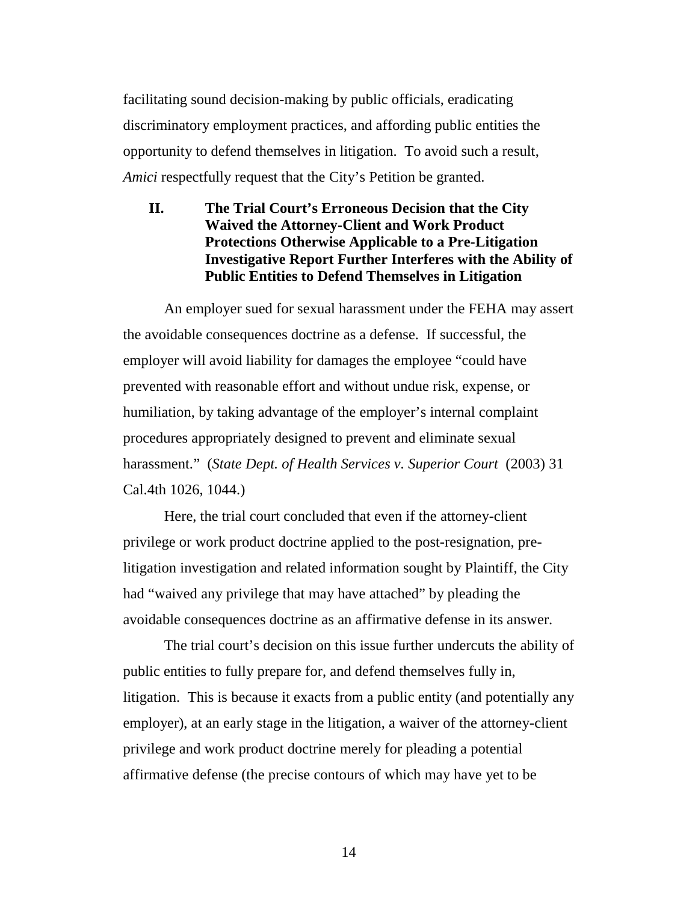facilitating sound decision-making by public officials, eradicating discriminatory employment practices, and affording public entities the opportunity to defend themselves in litigation. To avoid such a result, *Amici* respectfully request that the City's Petition be granted.

## <span id="page-13-0"></span>**II. The Trial Court's Erroneous Decision that the City Waived the Attorney-Client and Work Product Protections Otherwise Applicable to a Pre-Litigation Investigative Report Further Interferes with the Ability of Public Entities to Defend Themselves in Litigation**

An employer sued for sexual harassment under the FEHA may assert the avoidable consequences doctrine as a defense. If successful, the employer will avoid liability for damages the employee "could have prevented with reasonable effort and without undue risk, expense, or humiliation, by taking advantage of the employer's internal complaint procedures appropriately designed to prevent and eliminate sexual harassment." (*State Dept. of Health Services v. Superior Court* (2003) 31 Cal.4th 1026, 1044.)

Here, the trial court concluded that even if the attorney-client privilege or work product doctrine applied to the post-resignation, prelitigation investigation and related information sought by Plaintiff, the City had "waived any privilege that may have attached" by pleading the avoidable consequences doctrine as an affirmative defense in its answer.

The trial court's decision on this issue further undercuts the ability of public entities to fully prepare for, and defend themselves fully in, litigation. This is because it exacts from a public entity (and potentially any employer), at an early stage in the litigation, a waiver of the attorney-client privilege and work product doctrine merely for pleading a potential affirmative defense (the precise contours of which may have yet to be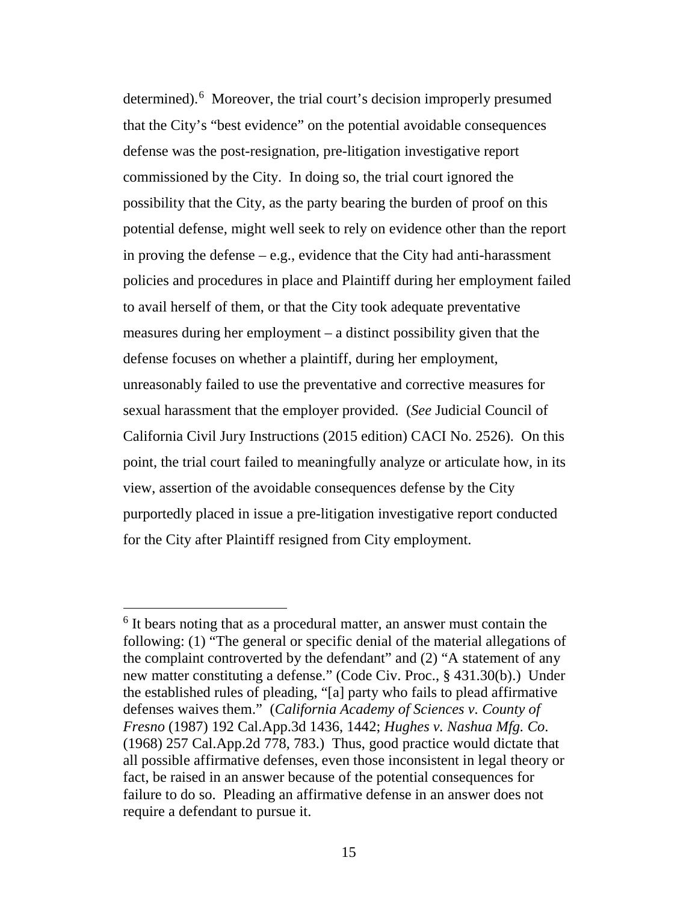determined). [6](#page-14-0) Moreover, the trial court's decision improperly presumed that the City's "best evidence" on the potential avoidable consequences defense was the post-resignation, pre-litigation investigative report commissioned by the City. In doing so, the trial court ignored the possibility that the City, as the party bearing the burden of proof on this potential defense, might well seek to rely on evidence other than the report in proving the defense – e.g., evidence that the City had anti-harassment policies and procedures in place and Plaintiff during her employment failed to avail herself of them, or that the City took adequate preventative measures during her employment – a distinct possibility given that the defense focuses on whether a plaintiff, during her employment, unreasonably failed to use the preventative and corrective measures for sexual harassment that the employer provided. (*See* Judicial Council of California Civil Jury Instructions (2015 edition) CACI No. 2526). On this point, the trial court failed to meaningfully analyze or articulate how, in its view, assertion of the avoidable consequences defense by the City purportedly placed in issue a pre-litigation investigative report conducted for the City after Plaintiff resigned from City employment.

<span id="page-14-0"></span> $6$  It bears noting that as a procedural matter, an answer must contain the following: (1) "The general or specific denial of the material allegations of the complaint controverted by the defendant" and (2) "A statement of any new matter constituting a defense." (Code Civ. Proc., § 431.30(b).) Under the established rules of pleading, "[a] party who fails to plead affirmative defenses waives them." (*California Academy of Sciences v. County of Fresno* (1987) 192 Cal.App.3d 1436, 1442; *Hughes v. Nashua Mfg. Co*. (1968) 257 Cal.App.2d 778, 783.) Thus, good practice would dictate that all possible affirmative defenses, even those inconsistent in legal theory or fact, be raised in an answer because of the potential consequences for failure to do so. Pleading an affirmative defense in an answer does not require a defendant to pursue it.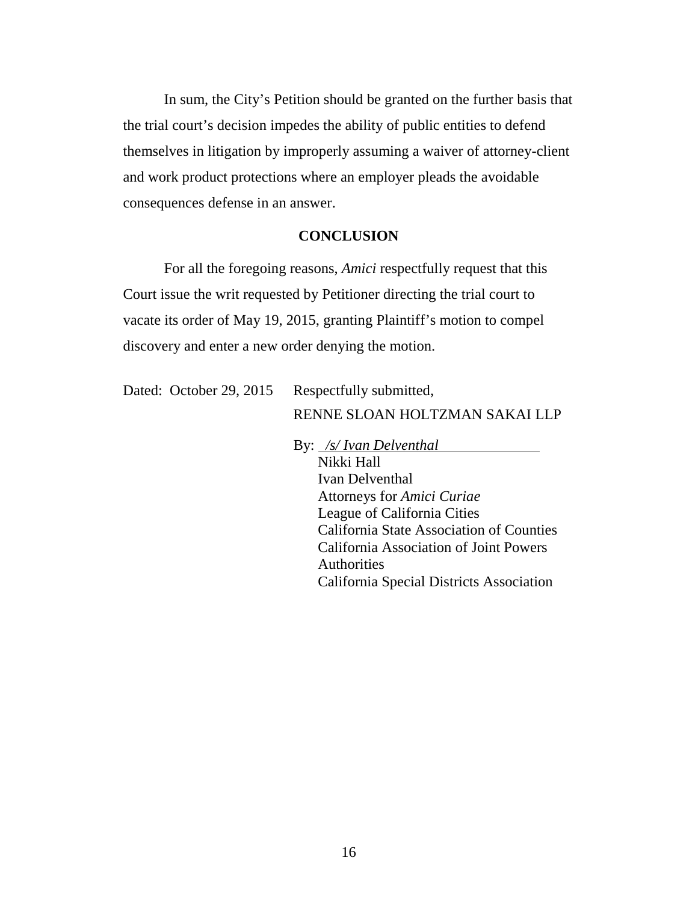In sum, the City's Petition should be granted on the further basis that the trial court's decision impedes the ability of public entities to defend themselves in litigation by improperly assuming a waiver of attorney-client and work product protections where an employer pleads the avoidable consequences defense in an answer.

#### **CONCLUSION**

<span id="page-15-0"></span>For all the foregoing reasons, *Amici* respectfully request that this Court issue the writ requested by Petitioner directing the trial court to vacate its order of May 19, 2015, granting Plaintiff's motion to compel discovery and enter a new order denying the motion.

Dated: October 29, 2015 Respectfully submitted,

RENNE SLOAN HOLTZMAN SAKAI LLP

By: */s/ Ivan Delventhal* Nikki Hall Ivan Delventhal Attorneys for *Amici Curiae* League of California Cities California State Association of Counties California Association of Joint Powers **Authorities** California Special Districts Association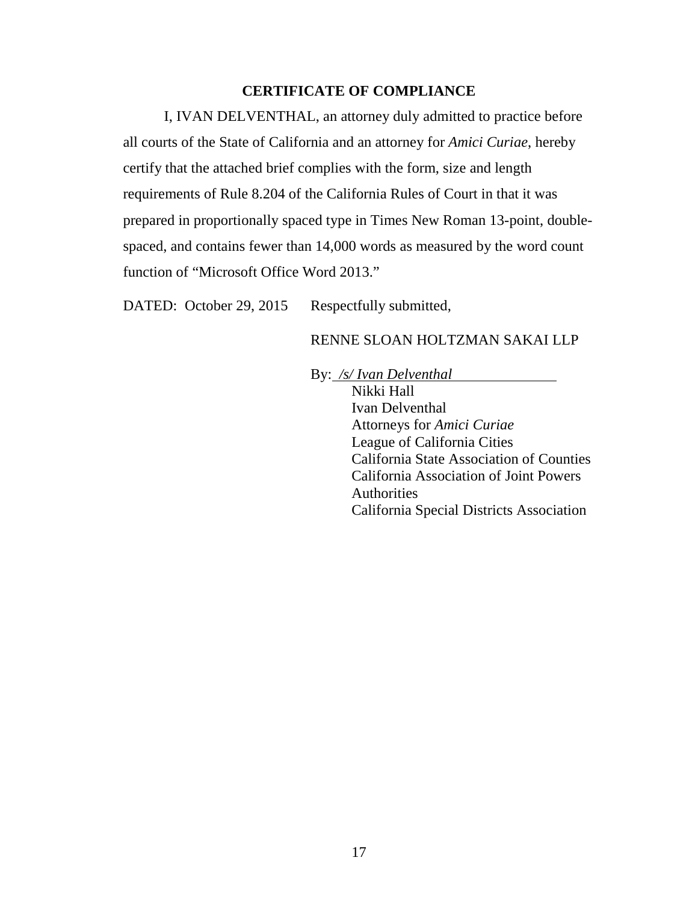### **CERTIFICATE OF COMPLIANCE**

I, IVAN DELVENTHAL, an attorney duly admitted to practice before all courts of the State of California and an attorney for *Amici Curiae*, hereby certify that the attached brief complies with the form, size and length requirements of Rule 8.204 of the California Rules of Court in that it was prepared in proportionally spaced type in Times New Roman 13-point, doublespaced, and contains fewer than 14,000 words as measured by the word count function of "Microsoft Office Word 2013."

DATED: October 29, 2015 Respectfully submitted,

## RENNE SLOAN HOLTZMAN SAKAI LLP

By: */s/ Ivan Delventhal* Nikki Hall

Ivan Delventhal Attorneys for *Amici Curiae* League of California Cities California State Association of Counties California Association of Joint Powers **Authorities** California Special Districts Association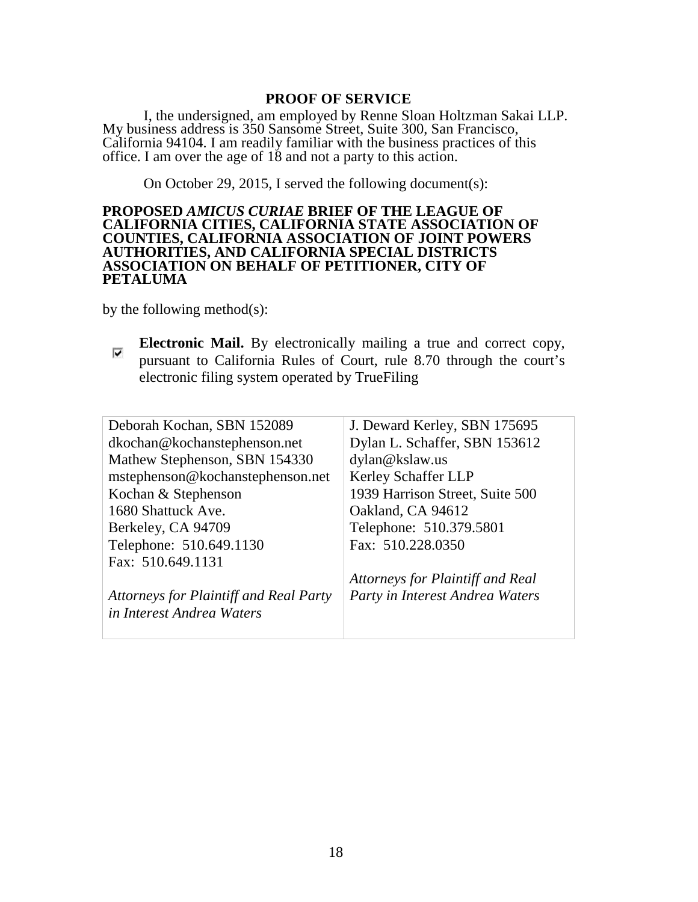#### **PROOF OF SERVICE**

I, the undersigned, am employed by Renne Sloan Holtzman Sakai LLP. My business address is 350 Sansome Street, Suite 300, San Francisco, California 94104. I am readily familiar with the business practices of this office. I am over the age of 18 and not a party to this action.

On October 29, 2015, I served the following document(s):

#### **PROPOSED** *AMICUS CURIAE* **BRIEF OF THE LEAGUE OF CALIFORNIA CITIES, CALIFORNIA STATE ASSOCIATION OF COUNTIES, CALIFORNIA ASSOCIATION OF JOINT POWERS AUTHORITIES, AND CALIFORNIA SPECIAL DISTRICTS ASSOCIATION ON BEHALF OF PETITIONER, CITY OF PETALUMA**

by the following method $(s)$ :

**Electronic Mail.** By electronically mailing a true and correct copy, ⊽ pursuant to California Rules of Court, rule 8.70 through the court's electronic filing system operated by TrueFiling

| Deborah Kochan, SBN 152089             | J. Deward Kerley, SBN 175695     |
|----------------------------------------|----------------------------------|
| dkochan@kochanstephenson.net           | Dylan L. Schaffer, SBN 153612    |
| Mathew Stephenson, SBN 154330          | dylan@kslaw.us                   |
| mstephenson@kochanstephenson.net       | Kerley Schaffer LLP              |
| Kochan & Stephenson                    | 1939 Harrison Street, Suite 500  |
| 1680 Shattuck Ave.                     | Oakland, CA 94612                |
| Berkeley, CA 94709                     | Telephone: 510.379.5801          |
| Telephone: 510.649.1130                | Fax: 510.228.0350                |
| Fax: 510.649.1131                      |                                  |
|                                        | Attorneys for Plaintiff and Real |
| Attorneys for Plaintiff and Real Party | Party in Interest Andrea Waters  |
| in Interest Andrea Waters              |                                  |
|                                        |                                  |